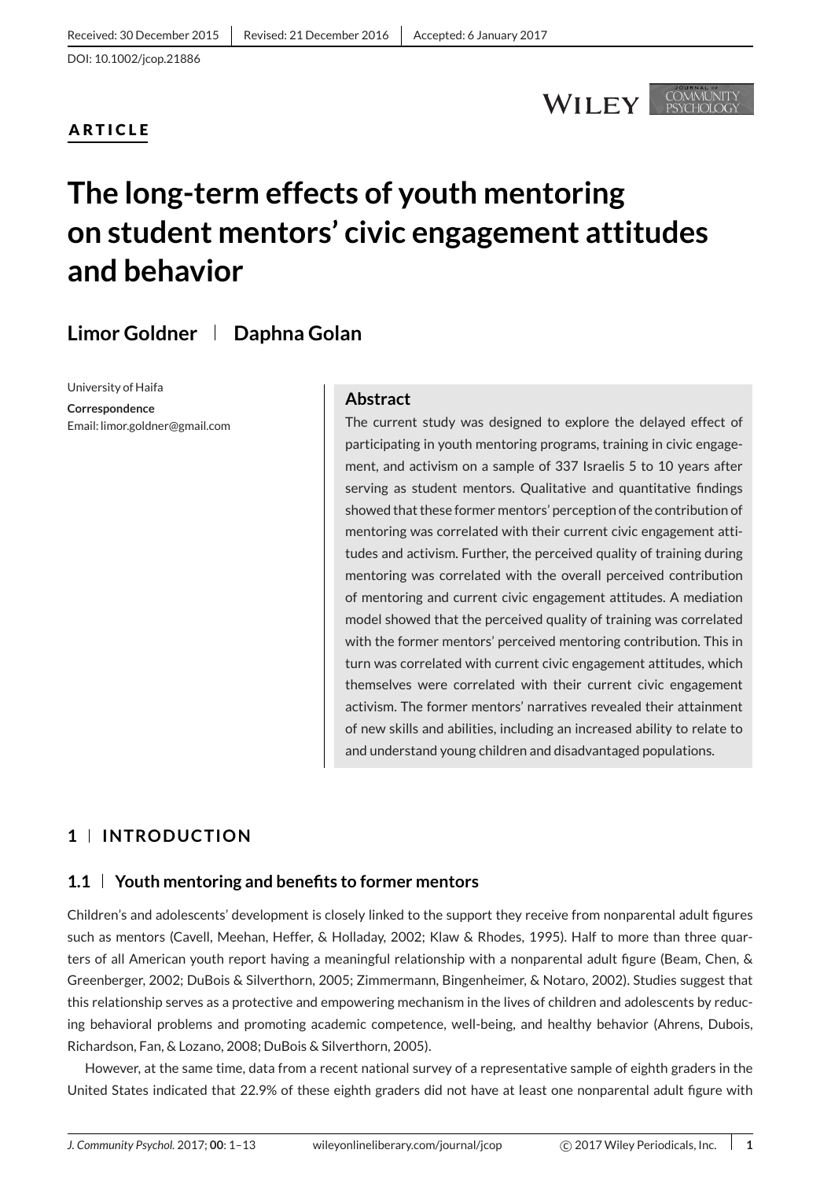## **ARTICLE**

## **WILEY**

COMMUNITY

# **The long-term effects of youth mentoring on student mentors' civic engagement attitudes and behavior**

**Limor Goldner Daphna Golan**

University of Haifa

**Correspondence** Email: limor.goldner@gmail.com

#### **Abstract**

The current study was designed to explore the delayed effect of participating in youth mentoring programs, training in civic engagement, and activism on a sample of 337 Israelis 5 to 10 years after serving as student mentors. Qualitative and quantitative findings showed that these former mentors' perception of the contribution of mentoring was correlated with their current civic engagement attitudes and activism. Further, the perceived quality of training during mentoring was correlated with the overall perceived contribution of mentoring and current civic engagement attitudes. A mediation model showed that the perceived quality of training was correlated with the former mentors' perceived mentoring contribution. This in turn was correlated with current civic engagement attitudes, which themselves were correlated with their current civic engagement activism. The former mentors' narratives revealed their attainment of new skills and abilities, including an increased ability to relate to and understand young children and disadvantaged populations.

## **1 INTRODUCTION**

#### **1.1 Youth mentoring and benefits to former mentors**

Children's and adolescents' development is closely linked to the support they receive from nonparental adult figures such as mentors (Cavell, Meehan, Heffer, & Holladay, 2002; Klaw & Rhodes, 1995). Half to more than three quarters of all American youth report having a meaningful relationship with a nonparental adult figure (Beam, Chen, & Greenberger, 2002; DuBois & Silverthorn, 2005; Zimmermann, Bingenheimer, & Notaro, 2002). Studies suggest that this relationship serves as a protective and empowering mechanism in the lives of children and adolescents by reducing behavioral problems and promoting academic competence, well-being, and healthy behavior (Ahrens, Dubois, Richardson, Fan, & Lozano, 2008; DuBois & Silverthorn, 2005).

However, at the same time, data from a recent national survey of a representative sample of eighth graders in the United States indicated that 22.9% of these eighth graders did not have at least one nonparental adult figure with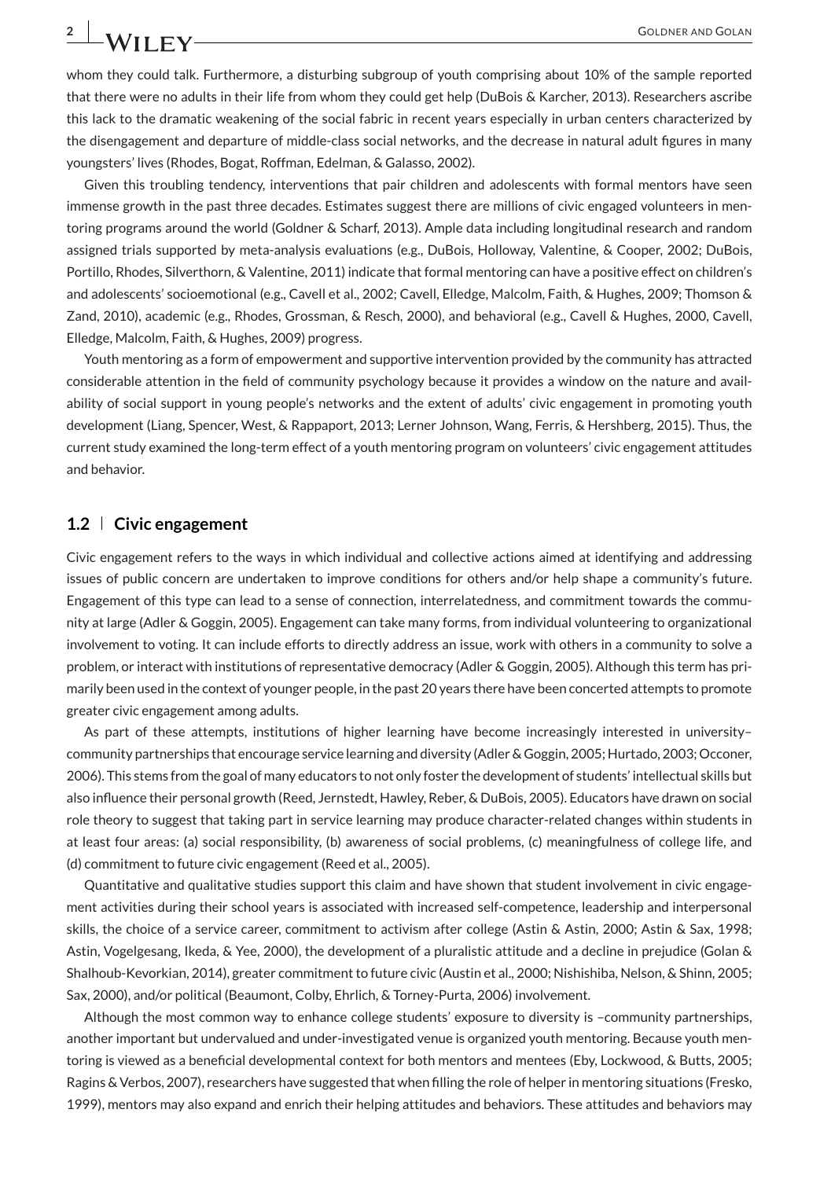whom they could talk. Furthermore, a disturbing subgroup of youth comprising about 10% of the sample reported that there were no adults in their life from whom they could get help (DuBois & Karcher, 2013). Researchers ascribe this lack to the dramatic weakening of the social fabric in recent years especially in urban centers characterized by the disengagement and departure of middle-class social networks, and the decrease in natural adult figures in many youngsters' lives (Rhodes, Bogat, Roffman, Edelman, & Galasso, 2002).

Given this troubling tendency, interventions that pair children and adolescents with formal mentors have seen immense growth in the past three decades. Estimates suggest there are millions of civic engaged volunteers in mentoring programs around the world (Goldner & Scharf, 2013). Ample data including longitudinal research and random assigned trials supported by meta-analysis evaluations (e.g., DuBois, Holloway, Valentine, & Cooper, 2002; DuBois, Portillo, Rhodes, Silverthorn, & Valentine, 2011) indicate that formal mentoring can have a positive effect on children's and adolescents' socioemotional (e.g., Cavell et al., 2002; Cavell, Elledge, Malcolm, Faith, & Hughes, 2009; Thomson & Zand, 2010), academic (e.g., Rhodes, Grossman, & Resch, 2000), and behavioral (e.g., Cavell & Hughes, 2000, Cavell, Elledge, Malcolm, Faith, & Hughes, 2009) progress.

Youth mentoring as a form of empowerment and supportive intervention provided by the community has attracted considerable attention in the field of community psychology because it provides a window on the nature and availability of social support in young people's networks and the extent of adults' civic engagement in promoting youth development (Liang, Spencer, West, & Rappaport, 2013; Lerner Johnson, Wang, Ferris, & Hershberg, 2015). Thus, the current study examined the long-term effect of a youth mentoring program on volunteers' civic engagement attitudes and behavior.

#### **1.2 Civic engagement**

Civic engagement refers to the ways in which individual and collective actions aimed at identifying and addressing issues of public concern are undertaken to improve conditions for others and/or help shape a community's future. Engagement of this type can lead to a sense of connection, interrelatedness, and commitment towards the community at large (Adler & Goggin, 2005). Engagement can take many forms, from individual volunteering to organizational involvement to voting. It can include efforts to directly address an issue, work with others in a community to solve a problem, or interact with institutions of representative democracy (Adler & Goggin, 2005). Although this term has primarily been used in the context of younger people, in the past 20 years there have been concerted attempts to promote greater civic engagement among adults.

As part of these attempts, institutions of higher learning have become increasingly interested in university– community partnerships that encourage service learning and diversity (Adler & Goggin, 2005; Hurtado, 2003; Occoner, 2006). This stems from the goal of many educators to not only foster the development of students' intellectual skills but also influence their personal growth (Reed, Jernstedt, Hawley, Reber, & DuBois, 2005). Educators have drawn on social role theory to suggest that taking part in service learning may produce character-related changes within students in at least four areas: (a) social responsibility, (b) awareness of social problems, (c) meaningfulness of college life, and (d) commitment to future civic engagement (Reed et al., 2005).

Quantitative and qualitative studies support this claim and have shown that student involvement in civic engagement activities during their school years is associated with increased self-competence, leadership and interpersonal skills, the choice of a service career, commitment to activism after college (Astin & Astin, 2000; Astin & Sax, 1998; Astin, Vogelgesang, Ikeda, & Yee, 2000), the development of a pluralistic attitude and a decline in prejudice (Golan & Shalhoub-Kevorkian, 2014), greater commitment to future civic (Austin et al., 2000; Nishishiba, Nelson, & Shinn, 2005; Sax, 2000), and/or political (Beaumont, Colby, Ehrlich, & Torney-Purta, 2006) involvement.

Although the most common way to enhance college students' exposure to diversity is –community partnerships, another important but undervalued and under-investigated venue is organized youth mentoring. Because youth mentoring is viewed as a beneficial developmental context for both mentors and mentees (Eby, Lockwood, & Butts, 2005; Ragins & Verbos, 2007), researchers have suggested that when filling the role of helper in mentoring situations (Fresko, 1999), mentors may also expand and enrich their helping attitudes and behaviors. These attitudes and behaviors may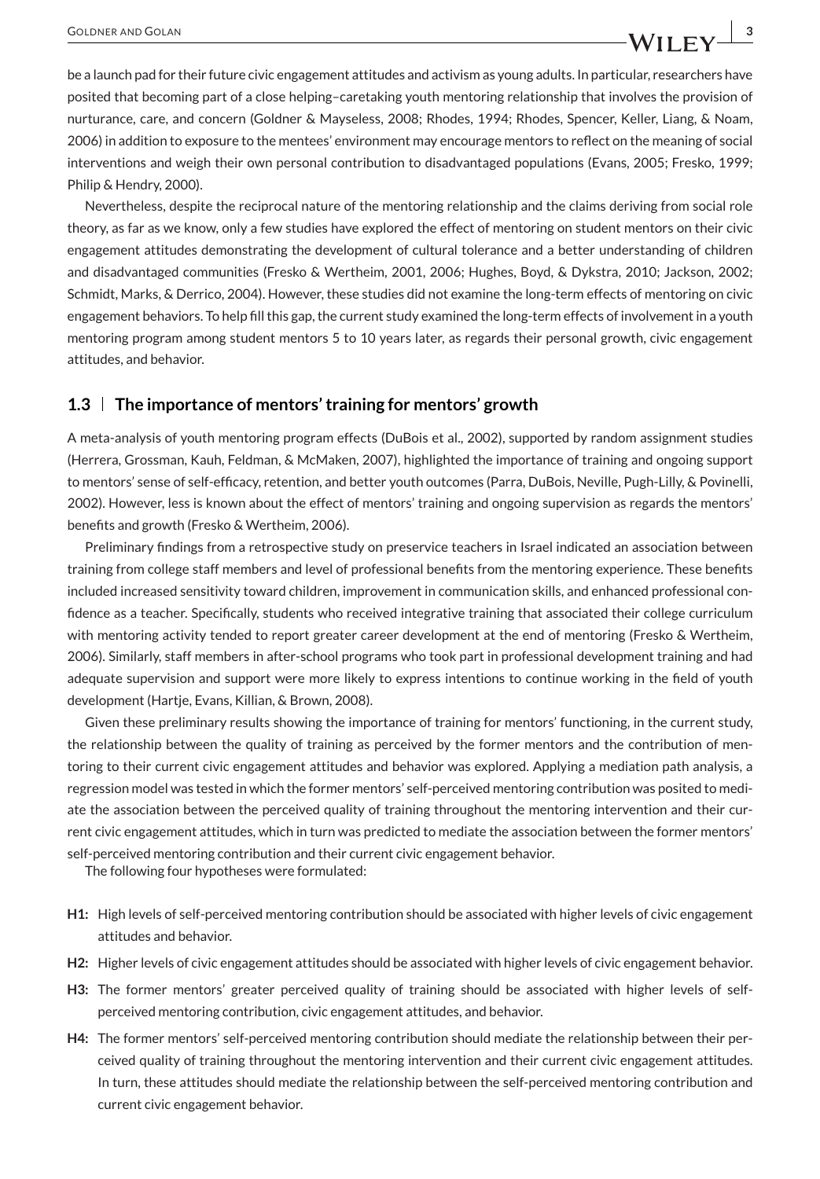be a launch pad for their future civic engagement attitudes and activism as young adults. In particular, researchers have posited that becoming part of a close helping–caretaking youth mentoring relationship that involves the provision of nurturance, care, and concern (Goldner & Mayseless, 2008; Rhodes, 1994; Rhodes, Spencer, Keller, Liang, & Noam, 2006) in addition to exposure to the mentees' environment may encourage mentors to reflect on the meaning of social interventions and weigh their own personal contribution to disadvantaged populations (Evans, 2005; Fresko, 1999; Philip & Hendry, 2000).

Nevertheless, despite the reciprocal nature of the mentoring relationship and the claims deriving from social role theory, as far as we know, only a few studies have explored the effect of mentoring on student mentors on their civic engagement attitudes demonstrating the development of cultural tolerance and a better understanding of children and disadvantaged communities (Fresko & Wertheim, 2001, 2006; Hughes, Boyd, & Dykstra, 2010; Jackson, 2002; Schmidt, Marks, & Derrico, 2004). However, these studies did not examine the long-term effects of mentoring on civic engagement behaviors. To help fill this gap, the current study examined the long-term effects of involvement in a youth mentoring program among student mentors 5 to 10 years later, as regards their personal growth, civic engagement attitudes, and behavior.

#### **1.3 The importance of mentors' training for mentors' growth**

A meta-analysis of youth mentoring program effects (DuBois et al., 2002), supported by random assignment studies (Herrera, Grossman, Kauh, Feldman, & McMaken, 2007), highlighted the importance of training and ongoing support to mentors' sense of self-efficacy, retention, and better youth outcomes (Parra, DuBois, Neville, Pugh-Lilly, & Povinelli, 2002). However, less is known about the effect of mentors' training and ongoing supervision as regards the mentors' benefits and growth (Fresko & Wertheim, 2006).

Preliminary findings from a retrospective study on preservice teachers in Israel indicated an association between training from college staff members and level of professional benefits from the mentoring experience. These benefits included increased sensitivity toward children, improvement in communication skills, and enhanced professional confidence as a teacher. Specifically, students who received integrative training that associated their college curriculum with mentoring activity tended to report greater career development at the end of mentoring (Fresko & Wertheim, 2006). Similarly, staff members in after-school programs who took part in professional development training and had adequate supervision and support were more likely to express intentions to continue working in the field of youth development (Hartje, Evans, Killian, & Brown, 2008).

Given these preliminary results showing the importance of training for mentors' functioning, in the current study, the relationship between the quality of training as perceived by the former mentors and the contribution of mentoring to their current civic engagement attitudes and behavior was explored. Applying a mediation path analysis, a regression model was tested in which the former mentors' self-perceived mentoring contribution was posited to mediate the association between the perceived quality of training throughout the mentoring intervention and their current civic engagement attitudes, which in turn was predicted to mediate the association between the former mentors' self-perceived mentoring contribution and their current civic engagement behavior.

The following four hypotheses were formulated:

- **H1:** High levels of self-perceived mentoring contribution should be associated with higher levels of civic engagement attitudes and behavior.
- **H2:** Higher levels of civic engagement attitudes should be associated with higher levels of civic engagement behavior.
- **H3:** The former mentors' greater perceived quality of training should be associated with higher levels of selfperceived mentoring contribution, civic engagement attitudes, and behavior.
- **H4:** The former mentors' self-perceived mentoring contribution should mediate the relationship between their perceived quality of training throughout the mentoring intervention and their current civic engagement attitudes. In turn, these attitudes should mediate the relationship between the self-perceived mentoring contribution and current civic engagement behavior.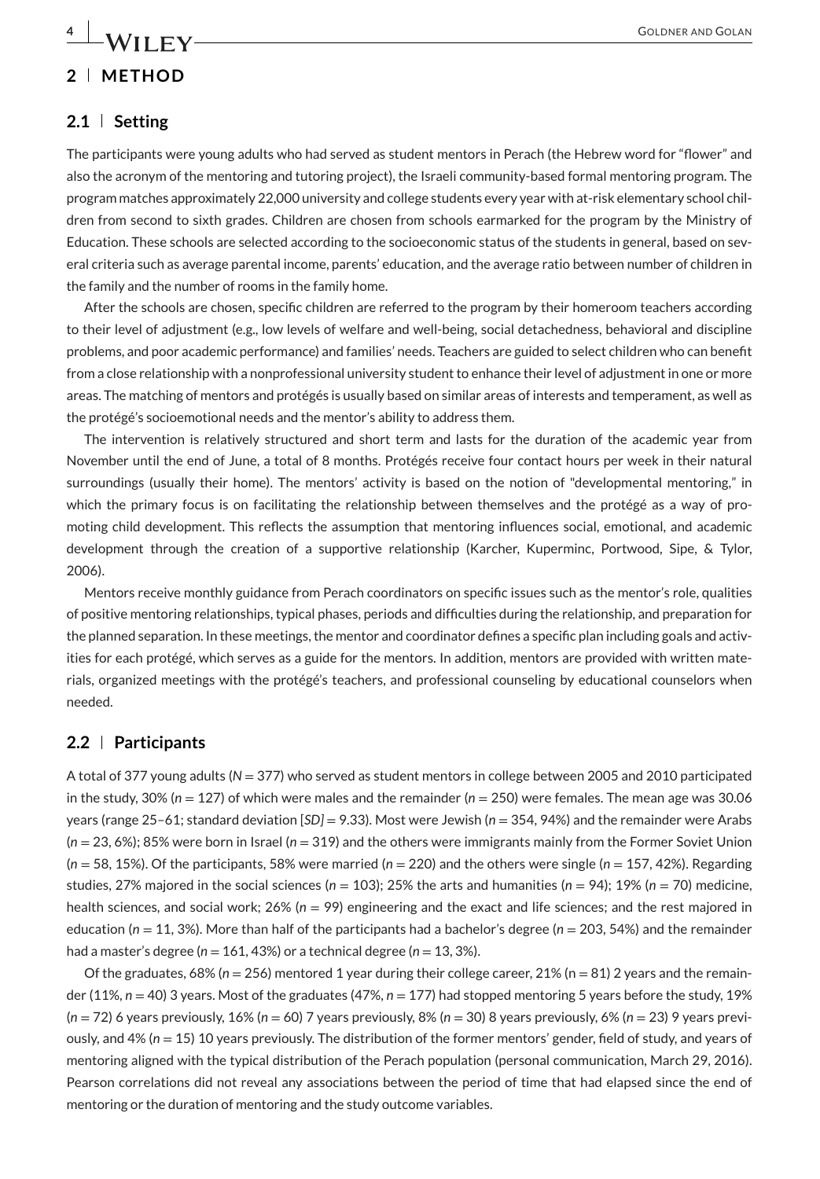## **2 METHOD**

#### **2.1 Setting**

The participants were young adults who had served as student mentors in Perach (the Hebrew word for "flower" and also the acronym of the mentoring and tutoring project), the Israeli community-based formal mentoring program. The program matches approximately 22,000 university and college students every year with at-risk elementary school children from second to sixth grades. Children are chosen from schools earmarked for the program by the Ministry of Education. These schools are selected according to the socioeconomic status of the students in general, based on several criteria such as average parental income, parents' education, and the average ratio between number of children in the family and the number of rooms in the family home.

After the schools are chosen, specific children are referred to the program by their homeroom teachers according to their level of adjustment (e.g., low levels of welfare and well-being, social detachedness, behavioral and discipline problems, and poor academic performance) and families' needs. Teachers are guided to select children who can benefit from a close relationship with a nonprofessional university student to enhance their level of adjustment in one or more areas. The matching of mentors and protégés is usually based on similar areas of interests and temperament, as well as the protégé's socioemotional needs and the mentor's ability to address them.

The intervention is relatively structured and short term and lasts for the duration of the academic year from November until the end of June, a total of 8 months. Protégés receive four contact hours per week in their natural surroundings (usually their home). The mentors' activity is based on the notion of "developmental mentoring," in which the primary focus is on facilitating the relationship between themselves and the protégé as a way of promoting child development. This reflects the assumption that mentoring influences social, emotional, and academic development through the creation of a supportive relationship (Karcher, Kuperminc, Portwood, Sipe, & Tylor, 2006).

Mentors receive monthly guidance from Perach coordinators on specific issues such as the mentor's role, qualities of positive mentoring relationships, typical phases, periods and difficulties during the relationship, and preparation for the planned separation. In these meetings, the mentor and coordinator defines a specific plan including goals and activities for each protégé, which serves as a guide for the mentors. In addition, mentors are provided with written materials, organized meetings with the protégé's teachers, and professional counseling by educational counselors when needed.

#### **2.2 Participants**

A total of 377 young adults (*N* = 377) who served as student mentors in college between 2005 and 2010 participated in the study,  $30\%$  ( $n = 127$ ) of which were males and the remainder ( $n = 250$ ) were females. The mean age was 30.06 years (range 25–61; standard deviation [*SD]* = 9.33). Most were Jewish (*n* = 354, 94%) and the remainder were Arabs (*n* = 23, 6%); 85% were born in Israel (*n* = 319) and the others were immigrants mainly from the Former Soviet Union (*n* = 58, 15%). Of the participants, 58% were married (*n* = 220) and the others were single (*n* = 157, 42%). Regarding studies, 27% majored in the social sciences (*n* = 103); 25% the arts and humanities (*n* = 94); 19% (*n* = 70) medicine, health sciences, and social work; 26% (*n* = 99) engineering and the exact and life sciences; and the rest majored in education ( $n = 11, 3\%$ ). More than half of the participants had a bachelor's degree ( $n = 203, 54\%$ ) and the remainder had a master's degree ( $n = 161, 43\%$ ) or a technical degree ( $n = 13, 3\%$ ).

Of the graduates, 68% (*n* = 256) mentored 1 year during their college career, 21% (n = 81) 2 years and the remainder (11%, *n* = 40) 3 years. Most of the graduates (47%, *n* = 177) had stopped mentoring 5 years before the study, 19% (*n* = 72) 6 years previously, 16% (*n* = 60) 7 years previously, 8% (*n* = 30) 8 years previously, 6% (*n* = 23) 9 years previously, and 4% (*n* = 15) 10 years previously. The distribution of the former mentors' gender, field of study, and years of mentoring aligned with the typical distribution of the Perach population (personal communication, March 29, 2016). Pearson correlations did not reveal any associations between the period of time that had elapsed since the end of mentoring or the duration of mentoring and the study outcome variables.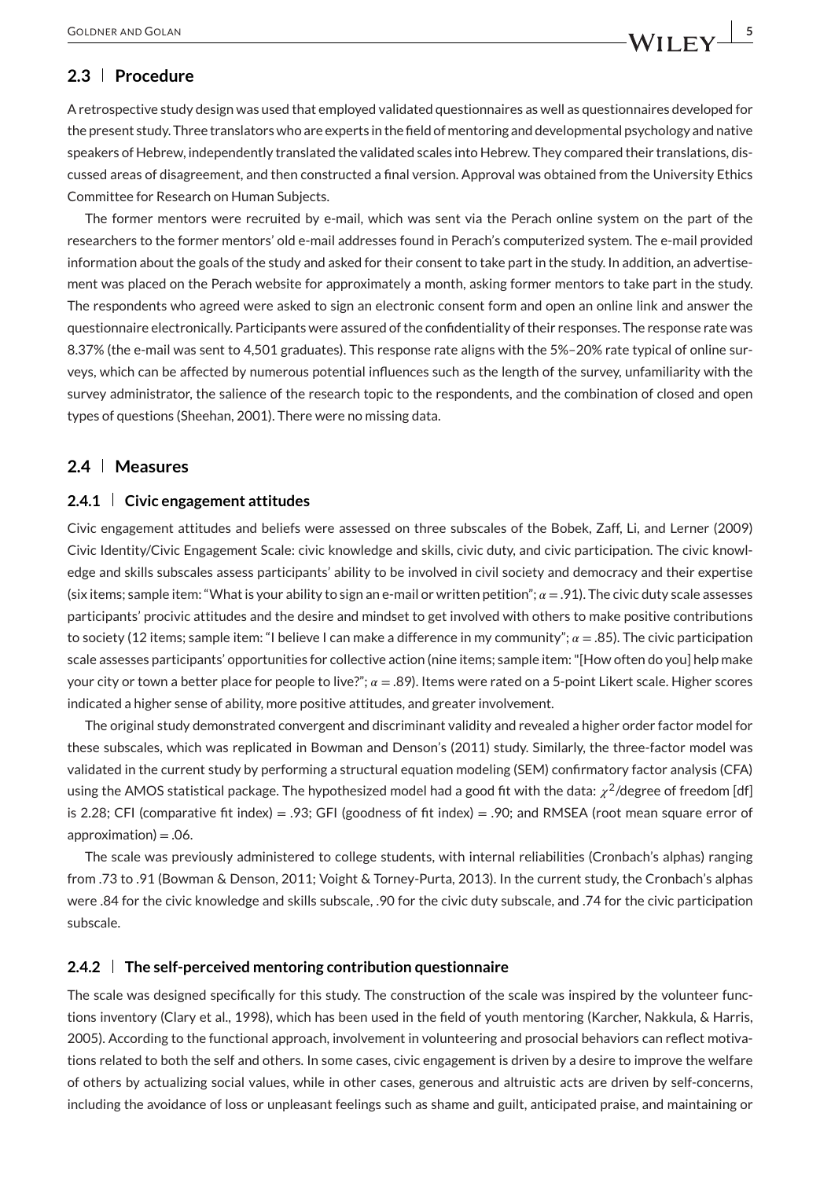## **2.3 Procedure**

A retrospective study design was used that employed validated questionnaires as well as questionnaires developed for the present study. Three translators who are experts in the field of mentoring and developmental psychology and native speakers of Hebrew, independently translated the validated scales into Hebrew. They compared their translations, discussed areas of disagreement, and then constructed a final version. Approval was obtained from the University Ethics Committee for Research on Human Subjects.

The former mentors were recruited by e-mail, which was sent via the Perach online system on the part of the researchers to the former mentors' old e-mail addresses found in Perach's computerized system. The e-mail provided information about the goals of the study and asked for their consent to take part in the study. In addition, an advertisement was placed on the Perach website for approximately a month, asking former mentors to take part in the study. The respondents who agreed were asked to sign an electronic consent form and open an online link and answer the questionnaire electronically. Participants were assured of the confidentiality of their responses. The response rate was 8.37% (the e-mail was sent to 4,501 graduates). This response rate aligns with the 5%–20% rate typical of online surveys, which can be affected by numerous potential influences such as the length of the survey, unfamiliarity with the survey administrator, the salience of the research topic to the respondents, and the combination of closed and open types of questions (Sheehan, 2001). There were no missing data.

#### **2.4 Measures**

#### **2.4.1 Civic engagement attitudes**

Civic engagement attitudes and beliefs were assessed on three subscales of the Bobek, Zaff, Li, and Lerner (2009) Civic Identity/Civic Engagement Scale: civic knowledge and skills, civic duty, and civic participation. The civic knowledge and skills subscales assess participants' ability to be involved in civil society and democracy and their expertise (six items; sample item: "What is your ability to sign an e-mail or written petition";  $\alpha = .91$ ). The civic duty scale assesses participants' procivic attitudes and the desire and mindset to get involved with others to make positive contributions to society (12 items; sample item: "I believe I can make a difference in my community";  $\alpha$  = .85). The civic participation scale assesses participants' opportunities for collective action (nine items; sample item: "[How often do you] help make your city or town a better place for people to live?";  $\alpha = .89$ ). Items were rated on a 5-point Likert scale. Higher scores indicated a higher sense of ability, more positive attitudes, and greater involvement.

The original study demonstrated convergent and discriminant validity and revealed a higher order factor model for these subscales, which was replicated in Bowman and Denson's (2011) study. Similarly, the three-factor model was validated in the current study by performing a structural equation modeling (SEM) confirmatory factor analysis (CFA) using the AMOS statistical package. The hypothesized model had a good fit with the data:  $\chi^2$ /degree of freedom [df] is 2.28; CFI (comparative fit index) = .93; GFI (goodness of fit index) = .90; and RMSEA (root mean square error of  $approximation$ ) = .06.

The scale was previously administered to college students, with internal reliabilities (Cronbach's alphas) ranging from .73 to .91 (Bowman & Denson, 2011; Voight & Torney-Purta, 2013). In the current study, the Cronbach's alphas were .84 for the civic knowledge and skills subscale, .90 for the civic duty subscale, and .74 for the civic participation subscale.

#### **2.4.2 The self-perceived mentoring contribution questionnaire**

The scale was designed specifically for this study. The construction of the scale was inspired by the volunteer functions inventory (Clary et al., 1998), which has been used in the field of youth mentoring (Karcher, Nakkula, & Harris, 2005). According to the functional approach, involvement in volunteering and prosocial behaviors can reflect motivations related to both the self and others. In some cases, civic engagement is driven by a desire to improve the welfare of others by actualizing social values, while in other cases, generous and altruistic acts are driven by self-concerns, including the avoidance of loss or unpleasant feelings such as shame and guilt, anticipated praise, and maintaining or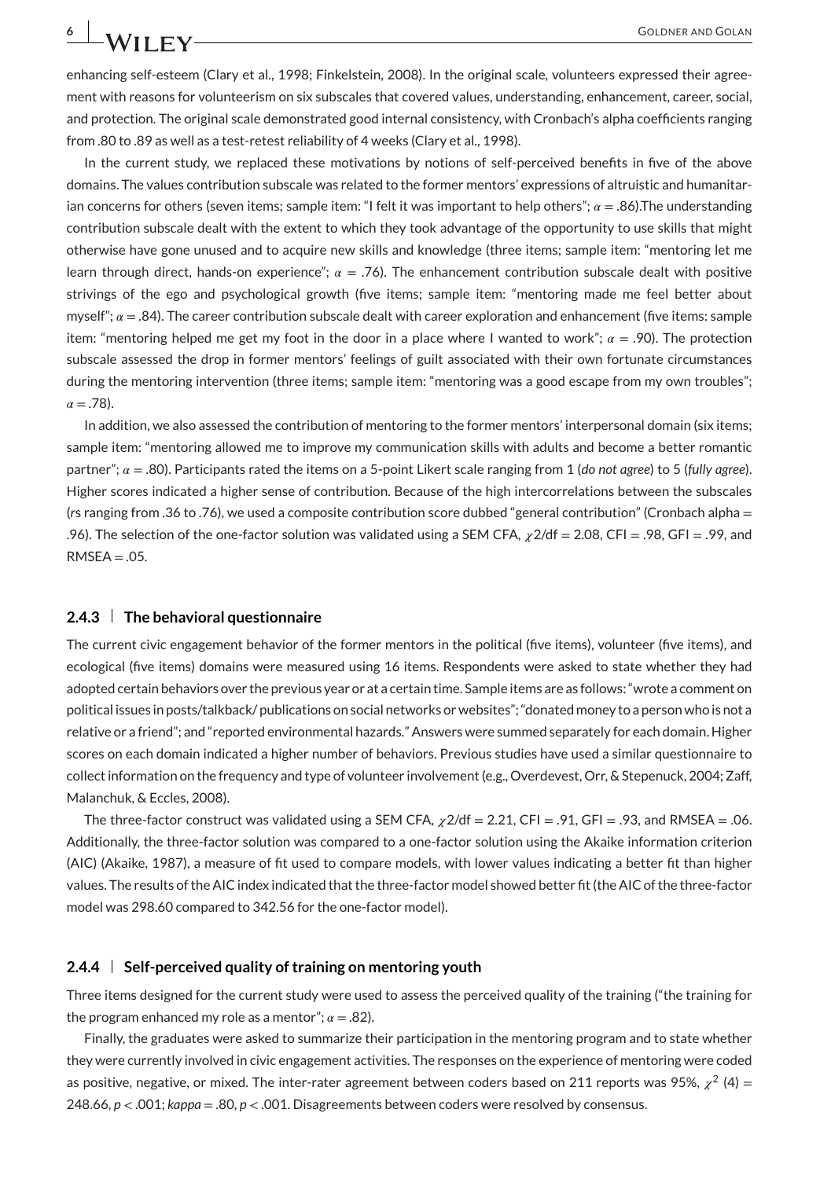enhancing self-esteem (Clary et al., 1998; Finkelstein, 2008). In the original scale, volunteers expressed their agreement with reasons for volunteerism on six subscales that covered values, understanding, enhancement, career, social, and protection. The original scale demonstrated good internal consistency, with Cronbach's alpha coefficients ranging from .80 to .89 as well as a test-retest reliability of 4 weeks (Clary et al., 1998).

In the current study, we replaced these motivations by notions of self-perceived benefits in five of the above domains. The values contribution subscale was related to the former mentors' expressions of altruistic and humanitarian concerns for others (seven items; sample item: "I felt it was important to help others";  $\alpha = .86$ ). The understanding contribution subscale dealt with the extent to which they took advantage of the opportunity to use skills that might otherwise have gone unused and to acquire new skills and knowledge (three items; sample item: "mentoring let me learn through direct, hands-on experience";  $\alpha = .76$ ). The enhancement contribution subscale dealt with positive strivings of the ego and psychological growth (five items; sample item: "mentoring made me feel better about myself";  $\alpha = .84$ ). The career contribution subscale dealt with career exploration and enhancement (five items: sample item: "mentoring helped me get my foot in the door in a place where I wanted to work";  $\alpha = .90$ ). The protection subscale assessed the drop in former mentors' feelings of guilt associated with their own fortunate circumstances during the mentoring intervention (three items; sample item: "mentoring was a good escape from my own troubles";  $\alpha = .78$ ).

In addition, we also assessed the contribution of mentoring to the former mentors' interpersonal domain (six items; sample item: "mentoring allowed me to improve my communication skills with adults and become a better romantic partner"; = .80). Participants rated the items on a 5-point Likert scale ranging from 1 (*do not agree*) to 5 (*fully agree*). Higher scores indicated a higher sense of contribution. Because of the high intercorrelations between the subscales (*r*s ranging from .36 to .76), we used a composite contribution score dubbed "general contribution" (Cronbach alpha = .96). The selection of the one-factor solution was validated using a SEM CFA,  $\chi$ 2/df = 2.08, CFI = .98, GFI = .99, and  $RMSEA = .05$ .

#### **2.4.3 The behavioral questionnaire**

The current civic engagement behavior of the former mentors in the political (five items), volunteer (five items), and ecological (five items) domains were measured using 16 items. Respondents were asked to state whether they had adopted certain behaviors over the previous year or at a certain time. Sample items are as follows: "wrote a comment on political issues in posts/talkback/ publications on social networks or websites"; "donated money to a person who is not a relative or a friend"; and "reported environmental hazards." Answers were summed separately for each domain. Higher scores on each domain indicated a higher number of behaviors. Previous studies have used a similar questionnaire to collect information on the frequency and type of volunteer involvement (e.g., Overdevest, Orr, & Stepenuck, 2004; Zaff, Malanchuk, & Eccles, 2008).

The three-factor construct was validated using a SEM CFA,  $\chi$ 2/df = 2.21, CFI = .91, GFI = .93, and RMSEA = .06. Additionally, the three-factor solution was compared to a one-factor solution using the Akaike information criterion (AIC) (Akaike, 1987), a measure of fit used to compare models, with lower values indicating a better fit than higher values. The results of the AIC index indicated that the three-factor model showed better fit (the AIC of the three-factor model was 298.60 compared to 342.56 for the one-factor model).

#### **2.4.4 Self-perceived quality of training on mentoring youth**

Three items designed for the current study were used to assess the perceived quality of the training ("the training for the program enhanced my role as a mentor";  $\alpha = .82$ ).

Finally, the graduates were asked to summarize their participation in the mentoring program and to state whether they were currently involved in civic engagement activities. The responses on the experience of mentoring were coded as positive, negative, or mixed. The inter-rater agreement between coders based on 211 reports was 95%,  $\chi^2$  (4) = 248.66, *p <* .001; *kappa* = .80, *p <* .001. Disagreements between coders were resolved by consensus.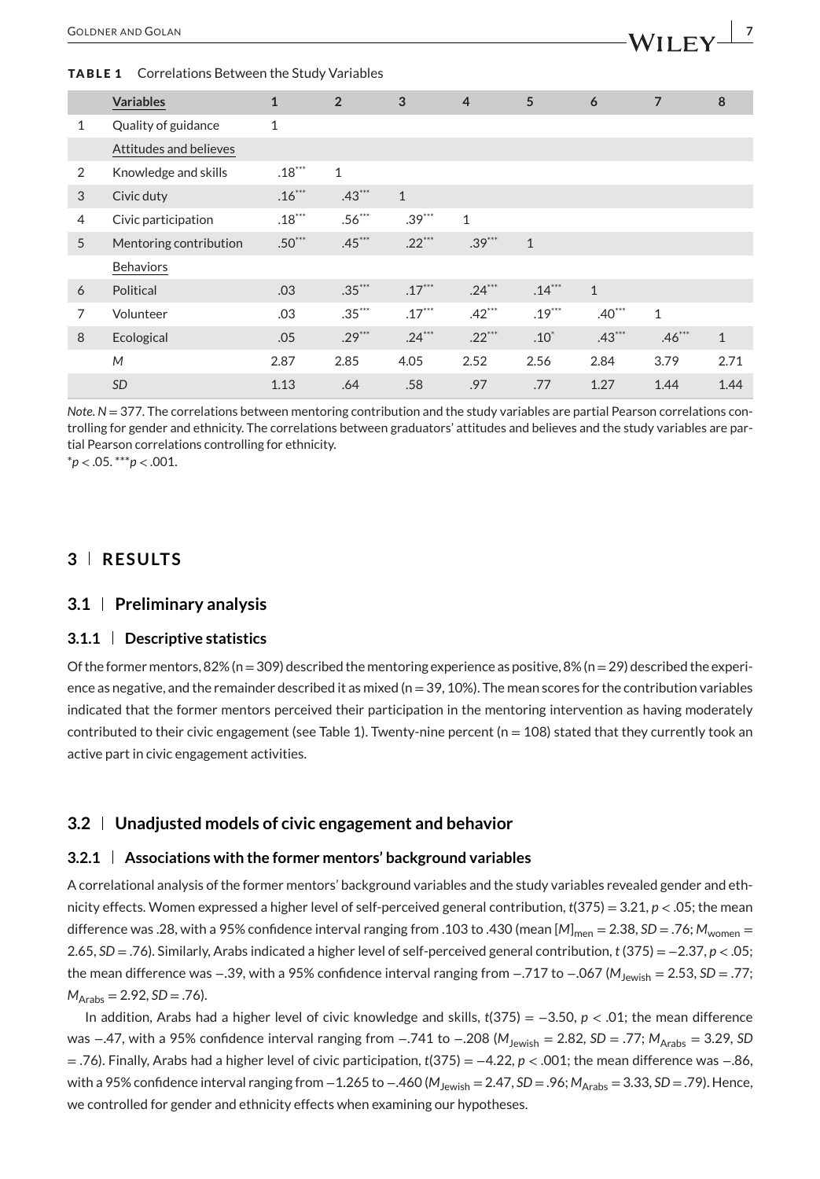#### **TABLE 1** Correlations Between the Study Variables

|                | <b>Variables</b>       | $\mathbf{1}$ | $\overline{2}$ | 3            | $\overline{4}$ | 5            | 6            | $\overline{7}$ | 8            |
|----------------|------------------------|--------------|----------------|--------------|----------------|--------------|--------------|----------------|--------------|
| $\mathbf{1}$   | Quality of guidance    | $\mathbf{1}$ |                |              |                |              |              |                |              |
|                | Attitudes and believes |              |                |              |                |              |              |                |              |
| 2              | Knowledge and skills   | $.18***$     | $\mathbf{1}$   |              |                |              |              |                |              |
| 3              | Civic duty             | $.16***$     | $.43***$       | $\mathbf{1}$ |                |              |              |                |              |
| $\overline{4}$ | Civic participation    | $.18***$     | $.56***$       | $.39***$     | $\mathbf{1}$   |              |              |                |              |
| 5              | Mentoring contribution | $.50***$     | $.45***$       | $.22***$     | $.39***$       | $\mathbf{1}$ |              |                |              |
|                | <b>Behaviors</b>       |              |                |              |                |              |              |                |              |
| 6              | Political              | .03          | $.35***$       | $.17***$     | $.24***$       | $.14***$     | $\mathbf{1}$ |                |              |
| 7              | Volunteer              | .03          | $.35***$       | $.17***$     | $.42***$       | $.19***$     | $.40***$     | $\mathbf{1}$   |              |
| 8              | Ecological             | .05          | $.29***$       | $.24***$     | $.22***$       | $.10*$       | $.43***$     | $.46***$       | $\mathbf{1}$ |
|                | M                      | 2.87         | 2.85           | 4.05         | 2.52           | 2.56         | 2.84         | 3.79           | 2.71         |
|                | <b>SD</b>              | 1.13         | .64            | .58          | .97            | .77          | 1.27         | 1.44           | 1.44         |

*Note*.  $N = 377$ . The correlations between mentoring contribution and the study variables are partial Pearson correlations controlling for gender and ethnicity. The correlations between graduators' attitudes and believes and the study variables are partial Pearson correlations controlling for ethnicity.

\**p <* .05. \*\*\**p <* .001.

## **3 RESULTS**

#### **3.1 Preliminary analysis**

#### **3.1.1 Descriptive statistics**

Of the former mentors, 82% (n = 309) described the mentoring experience as positive, 8% (n = 29) described the experience as negative, and the remainder described it as mixed ( $n=39, 10\%$ ). The mean scores for the contribution variables indicated that the former mentors perceived their participation in the mentoring intervention as having moderately contributed to their civic engagement (see Table 1). Twenty-nine percent ( $n = 108$ ) stated that they currently took an active part in civic engagement activities.

#### **3.2 Unadjusted models of civic engagement and behavior**

#### **3.2.1 Associations with the former mentors' background variables**

A correlational analysis of the former mentors' background variables and the study variables revealed gender and ethnicity effects. Women expressed a higher level of self-perceived general contribution, *t*(375) = 3.21, *p <* .05; the mean difference was .28, with a 95% confidence interval ranging from .103 to .430 (mean  $[M]_{\text{men}} = 2.38$ , *SD* = .76;  $M_{\text{women}} =$ 2.65, *SD* = .76). Similarly, Arabs indicated a higher level of self-perceived general contribution, *t* (375) = −2.37, *p <* .05; the mean difference was −.39, with a 95% confidence interval ranging from −.717 to −.067 (*M*Jewish = 2.53, *SD* = .77;  $M_{Arabs} = 2.92, SD = .76$ .

In addition, Arabs had a higher level of civic knowledge and skills, *t*(375) = −3.50, *p <* .01; the mean difference was −.47, with a 95% confidence interval ranging from −.741 to −.208 (M<sub>Jewish</sub> = 2.82, *SD* = .77;  $M_{Arabs}$  = 3.29, *SD* = .76). Finally, Arabs had a higher level of civic participation, *t*(375) = −4.22, *p <* .001; the mean difference was −.86, with a 95% confidence interval ranging from −1.265 to −.460 ( $M_{\text{Jewish}}$  = 2.47, *SD* = .96;  $M_{\text{Arabs}}$  = 3.33, *SD* = .79). Hence, we controlled for gender and ethnicity effects when examining our hypotheses.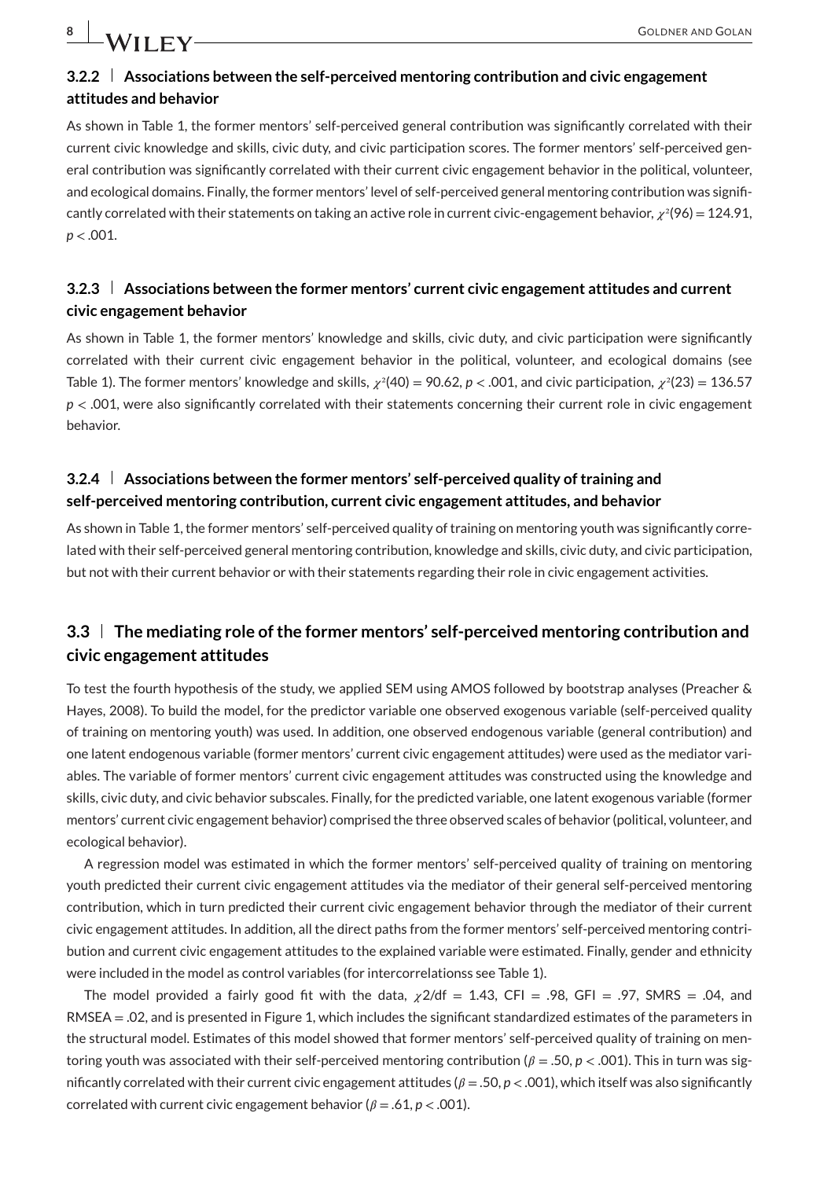## **3.2.2 Associations between the self-perceived mentoring contribution and civic engagement attitudes and behavior**

As shown in Table 1, the former mentors' self-perceived general contribution was significantly correlated with their current civic knowledge and skills, civic duty, and civic participation scores. The former mentors' self-perceived general contribution was significantly correlated with their current civic engagement behavior in the political, volunteer, and ecological domains. Finally, the former mentors' level of self-perceived general mentoring contribution was significantly correlated with their statements on taking an active role in current civic-engagement behavior,  $\chi^2(96) = 124.91$ , *p <* .001.

## **3.2.3 Associations between the former mentors' current civic engagement attitudes and current civic engagement behavior**

As shown in Table 1, the former mentors' knowledge and skills, civic duty, and civic participation were significantly correlated with their current civic engagement behavior in the political, volunteer, and ecological domains (see Table 1). The former mentors' knowledge and skills,  $\chi^2(40) = 90.62$ ,  $p < .001$ , and civic participation,  $\chi^2(23) = 136.57$ *p <* .001, were also significantly correlated with their statements concerning their current role in civic engagement behavior.

## **3.2.4 Associations between the former mentors' self-perceived quality of training and self-perceived mentoring contribution, current civic engagement attitudes, and behavior**

As shown in Table 1, the former mentors' self-perceived quality of training on mentoring youth was significantly correlated with their self-perceived general mentoring contribution, knowledge and skills, civic duty, and civic participation, but not with their current behavior or with their statements regarding their role in civic engagement activities.

## **3.3 The mediating role of the former mentors' self-perceived mentoring contribution and civic engagement attitudes**

To test the fourth hypothesis of the study, we applied SEM using AMOS followed by bootstrap analyses (Preacher & Hayes, 2008). To build the model, for the predictor variable one observed exogenous variable (self-perceived quality of training on mentoring youth) was used. In addition, one observed endogenous variable (general contribution) and one latent endogenous variable (former mentors' current civic engagement attitudes) were used as the mediator variables. The variable of former mentors' current civic engagement attitudes was constructed using the knowledge and skills, civic duty, and civic behavior subscales. Finally, for the predicted variable, one latent exogenous variable (former mentors' current civic engagement behavior) comprised the three observed scales of behavior (political, volunteer, and ecological behavior).

A regression model was estimated in which the former mentors' self-perceived quality of training on mentoring youth predicted their current civic engagement attitudes via the mediator of their general self-perceived mentoring contribution, which in turn predicted their current civic engagement behavior through the mediator of their current civic engagement attitudes. In addition, all the direct paths from the former mentors' self-perceived mentoring contribution and current civic engagement attitudes to the explained variable were estimated. Finally, gender and ethnicity were included in the model as control variables (for intercorrelationss see Table 1).

The model provided a fairly good fit with the data,  $\chi$ 2/df = 1.43, CFI = .98, GFI = .97, SMRS = .04, and RMSEA = .02, and is presented in Figure 1, which includes the significant standardized estimates of the parameters in the structural model. Estimates of this model showed that former mentors' self-perceived quality of training on mentoring youth was associated with their self-perceived mentoring contribution ( $\beta = .50$ ,  $p < .001$ ). This in turn was significantly correlated with their current civic engagement attitudes ( $\beta = .50$ ,  $p < .001$ ), which itself was also significantly correlated with current civic engagement behavior ( $\beta = .61$ ,  $p < .001$ ).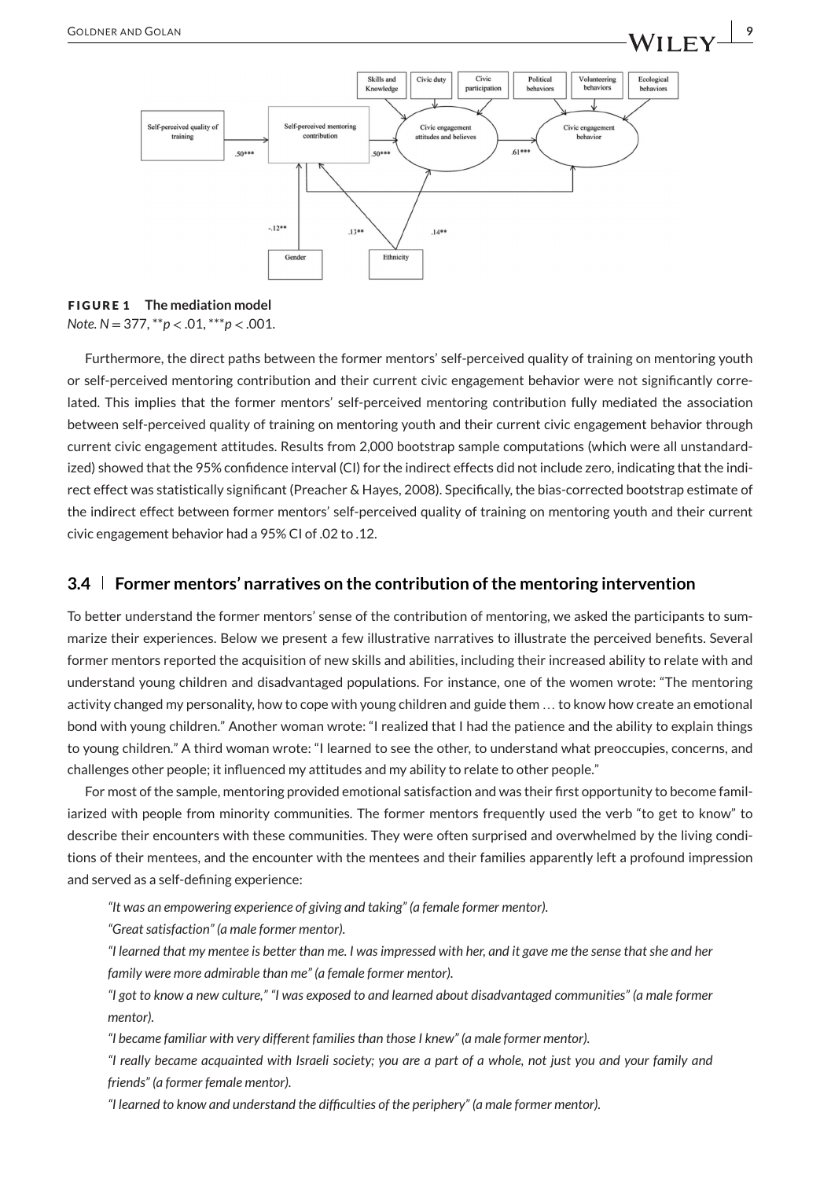

## **FIGURE 1 The mediation model**

*Note. N* = 377, \*\**p <* .01, \*\*\**p <* .001.

Furthermore, the direct paths between the former mentors' self-perceived quality of training on mentoring youth or self-perceived mentoring contribution and their current civic engagement behavior were not significantly correlated. This implies that the former mentors' self-perceived mentoring contribution fully mediated the association between self-perceived quality of training on mentoring youth and their current civic engagement behavior through current civic engagement attitudes. Results from 2,000 bootstrap sample computations (which were all unstandardized) showed that the 95% confidence interval (CI) for the indirect effects did not include zero, indicating that the indirect effect was statistically significant (Preacher & Hayes, 2008). Specifically, the bias-corrected bootstrap estimate of the indirect effect between former mentors' self-perceived quality of training on mentoring youth and their current civic engagement behavior had a 95% CI of .02 to .12.

#### **3.4 Former mentors' narratives on the contribution of the mentoring intervention**

To better understand the former mentors' sense of the contribution of mentoring, we asked the participants to summarize their experiences. Below we present a few illustrative narratives to illustrate the perceived benefits. Several former mentors reported the acquisition of new skills and abilities, including their increased ability to relate with and understand young children and disadvantaged populations. For instance, one of the women wrote: "The mentoring activity changed my personality, how to cope with young children and guide them … to know how create an emotional bond with young children." Another woman wrote: "I realized that I had the patience and the ability to explain things to young children." A third woman wrote: "I learned to see the other, to understand what preoccupies, concerns, and challenges other people; it influenced my attitudes and my ability to relate to other people."

For most of the sample, mentoring provided emotional satisfaction and was their first opportunity to become familiarized with people from minority communities. The former mentors frequently used the verb "to get to know" to describe their encounters with these communities. They were often surprised and overwhelmed by the living conditions of their mentees, and the encounter with the mentees and their families apparently left a profound impression and served as a self-defining experience:

*"It was an empowering experience of giving and taking" (a female former mentor).*

*"Great satisfaction" (a male former mentor).*

*"I learned that my mentee is better than me. I was impressed with her, and it gave me the sense that she and her family were more admirable than me" (a female former mentor).*

*"I got to know a new culture," "I was exposed to and learned about disadvantaged communities" (a male former mentor).*

*"I became familiar with very different families than those I knew" (a male former mentor).*

*"I really became acquainted with Israeli society; you are a part of a whole, not just you and your family and friends" (a former female mentor).*

*"I learned to know and understand the difficulties of the periphery" (a male former mentor).*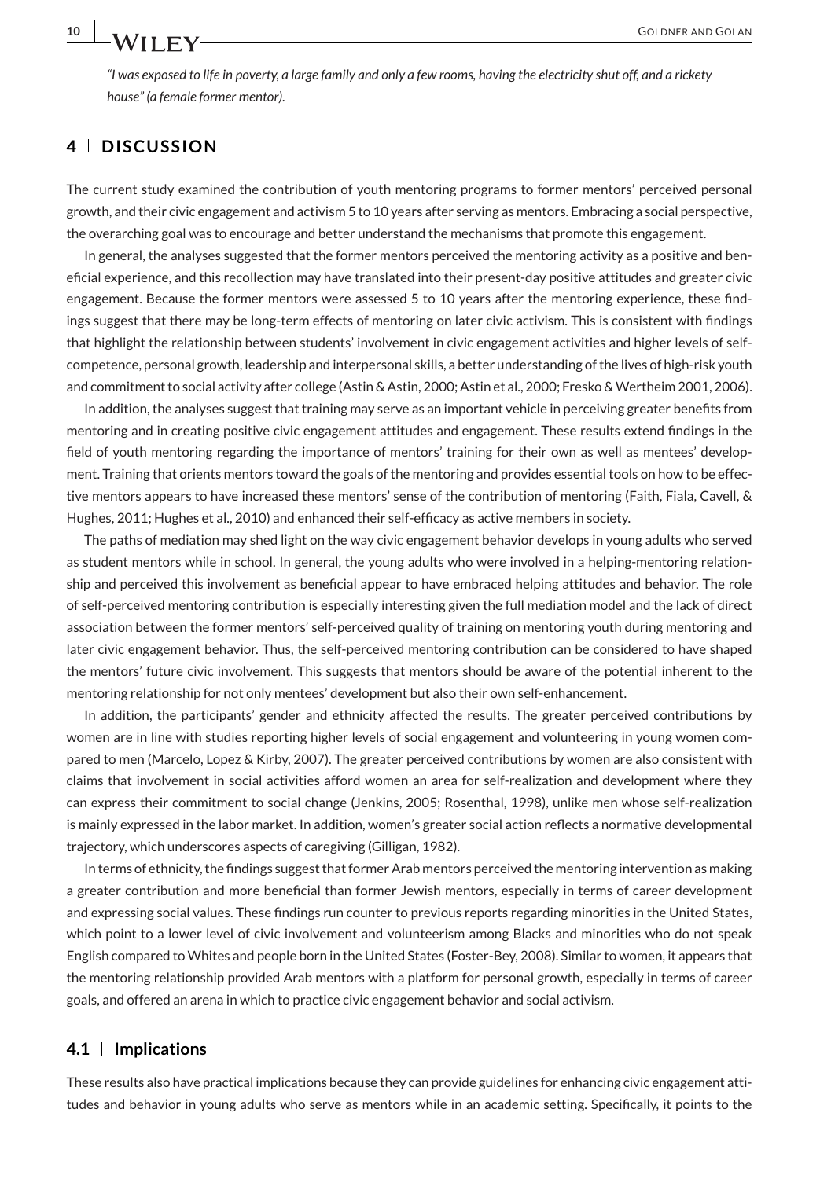*"I was exposed to life in poverty, a large family and only a few rooms, having the electricity shut off, and a rickety house" (a female former mentor).*

## **4 DISCUSSION**

The current study examined the contribution of youth mentoring programs to former mentors' perceived personal growth, and their civic engagement and activism 5 to 10 years after serving as mentors. Embracing a social perspective, the overarching goal was to encourage and better understand the mechanisms that promote this engagement.

In general, the analyses suggested that the former mentors perceived the mentoring activity as a positive and beneficial experience, and this recollection may have translated into their present-day positive attitudes and greater civic engagement. Because the former mentors were assessed 5 to 10 years after the mentoring experience, these findings suggest that there may be long-term effects of mentoring on later civic activism. This is consistent with findings that highlight the relationship between students' involvement in civic engagement activities and higher levels of selfcompetence, personal growth, leadership and interpersonal skills, a better understanding of the lives of high-risk youth and commitment to social activity after college (Astin & Astin, 2000; Astin et al., 2000; Fresko & Wertheim 2001, 2006).

In addition, the analyses suggest that training may serve as an important vehicle in perceiving greater benefits from mentoring and in creating positive civic engagement attitudes and engagement. These results extend findings in the field of youth mentoring regarding the importance of mentors' training for their own as well as mentees' development. Training that orients mentors toward the goals of the mentoring and provides essential tools on how to be effective mentors appears to have increased these mentors' sense of the contribution of mentoring (Faith, Fiala, Cavell, & Hughes, 2011; Hughes et al., 2010) and enhanced their self-efficacy as active members in society.

The paths of mediation may shed light on the way civic engagement behavior develops in young adults who served as student mentors while in school. In general, the young adults who were involved in a helping-mentoring relationship and perceived this involvement as beneficial appear to have embraced helping attitudes and behavior. The role of self-perceived mentoring contribution is especially interesting given the full mediation model and the lack of direct association between the former mentors' self-perceived quality of training on mentoring youth during mentoring and later civic engagement behavior. Thus, the self-perceived mentoring contribution can be considered to have shaped the mentors' future civic involvement. This suggests that mentors should be aware of the potential inherent to the mentoring relationship for not only mentees' development but also their own self-enhancement.

In addition, the participants' gender and ethnicity affected the results. The greater perceived contributions by women are in line with studies reporting higher levels of social engagement and volunteering in young women compared to men (Marcelo, Lopez & Kirby, 2007). The greater perceived contributions by women are also consistent with claims that involvement in social activities afford women an area for self-realization and development where they can express their commitment to social change (Jenkins, 2005; Rosenthal, 1998), unlike men whose self-realization is mainly expressed in the labor market. In addition, women's greater social action reflects a normative developmental trajectory, which underscores aspects of caregiving (Gilligan, 1982).

In terms of ethnicity, the findings suggest that former Arab mentors perceived the mentoring intervention as making a greater contribution and more beneficial than former Jewish mentors, especially in terms of career development and expressing social values. These findings run counter to previous reports regarding minorities in the United States, which point to a lower level of civic involvement and volunteerism among Blacks and minorities who do not speak English compared to Whites and people born in the United States (Foster-Bey, 2008). Similar to women, it appears that the mentoring relationship provided Arab mentors with a platform for personal growth, especially in terms of career goals, and offered an arena in which to practice civic engagement behavior and social activism.

#### **4.1 Implications**

These results also have practical implications because they can provide guidelines for enhancing civic engagement attitudes and behavior in young adults who serve as mentors while in an academic setting. Specifically, it points to the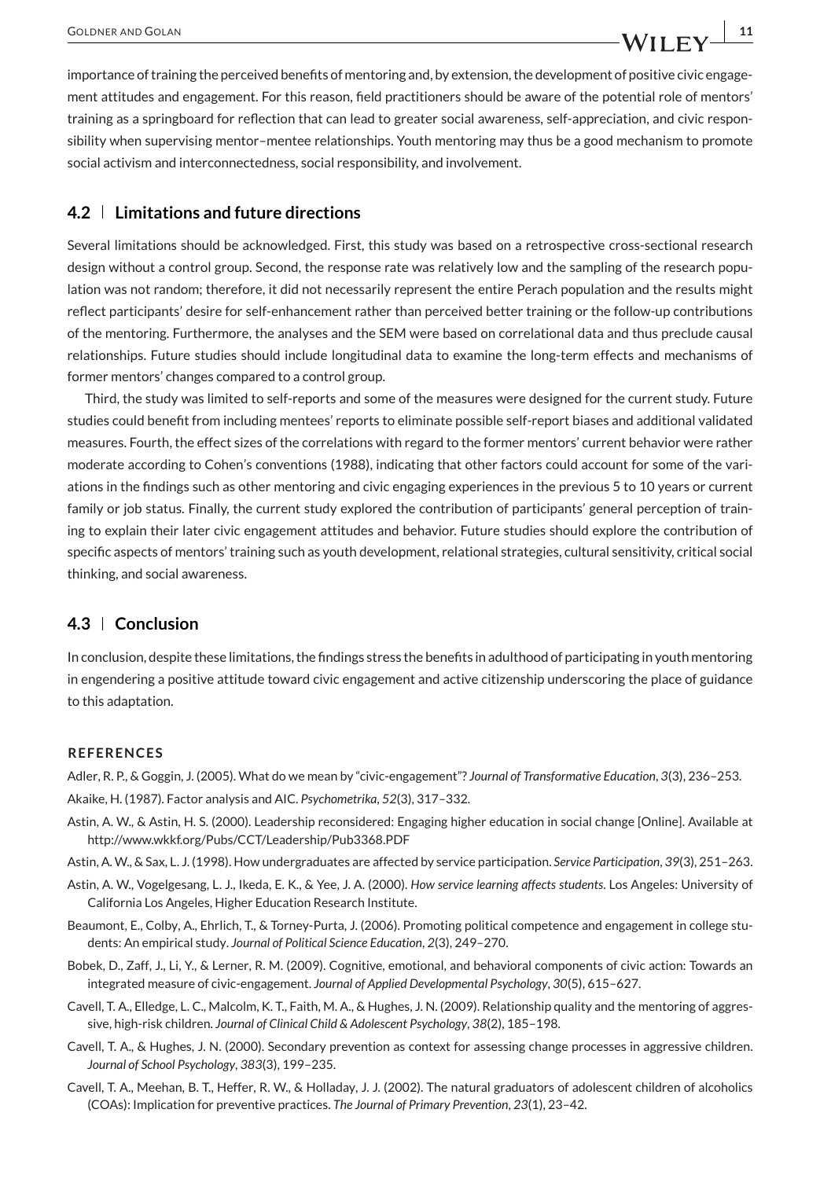importance of training the perceived benefits of mentoring and, by extension, the development of positive civic engagement attitudes and engagement. For this reason, field practitioners should be aware of the potential role of mentors' training as a springboard for reflection that can lead to greater social awareness, self-appreciation, and civic responsibility when supervising mentor–mentee relationships. Youth mentoring may thus be a good mechanism to promote social activism and interconnectedness, social responsibility, and involvement.

#### **4.2 Limitations and future directions**

Several limitations should be acknowledged. First, this study was based on a retrospective cross-sectional research design without a control group. Second, the response rate was relatively low and the sampling of the research population was not random; therefore, it did not necessarily represent the entire Perach population and the results might reflect participants' desire for self-enhancement rather than perceived better training or the follow-up contributions of the mentoring. Furthermore, the analyses and the SEM were based on correlational data and thus preclude causal relationships. Future studies should include longitudinal data to examine the long-term effects and mechanisms of former mentors' changes compared to a control group.

Third, the study was limited to self-reports and some of the measures were designed for the current study. Future studies could benefit from including mentees' reports to eliminate possible self-report biases and additional validated measures. Fourth, the effect sizes of the correlations with regard to the former mentors' current behavior were rather moderate according to Cohen's conventions (1988), indicating that other factors could account for some of the variations in the findings such as other mentoring and civic engaging experiences in the previous 5 to 10 years or current family or job status. Finally, the current study explored the contribution of participants' general perception of training to explain their later civic engagement attitudes and behavior. Future studies should explore the contribution of specific aspects of mentors' training such as youth development, relational strategies, cultural sensitivity, critical social thinking, and social awareness.

#### **4.3 Conclusion**

In conclusion, despite these limitations, the findings stress the benefits in adulthood of participating in youth mentoring in engendering a positive attitude toward civic engagement and active citizenship underscoring the place of guidance to this adaptation.

#### **REFERENCES**

Adler, R. P., & Goggin, J. (2005). What do we mean by "civic-engagement"? *Journal of Transformative Education*, *3*(3), 236–253.

Akaike, H. (1987). Factor analysis and AIC. *Psychometrika*, *52*(3), 317–332.

- Astin, A. W., & Astin, H. S. (2000). Leadership reconsidered: Engaging higher education in social change [Online]. Available at http://www.wkkf.org/Pubs/CCT/Leadership/Pub3368.PDF
- Astin, A. W., & Sax, L. J. (1998). How undergraduates are affected by service participation. *Service Participation*, *39*(3), 251–263.
- Astin, A. W., Vogelgesang, L. J., Ikeda, E. K., & Yee, J. A. (2000). *How service learning affects students*. Los Angeles: University of California Los Angeles, Higher Education Research Institute.
- Beaumont, E., Colby, A., Ehrlich, T., & Torney-Purta, J. (2006). Promoting political competence and engagement in college students: An empirical study. *Journal of Political Science Education*, *2*(3), 249–270.
- Bobek, D., Zaff, J., Li, Y., & Lerner, R. M. (2009). Cognitive, emotional, and behavioral components of civic action: Towards an integrated measure of civic-engagement. *Journal of Applied Developmental Psychology*, *30*(5), 615–627.
- Cavell, T. A., Elledge, L. C., Malcolm, K. T., Faith, M. A., & Hughes, J. N. (2009). Relationship quality and the mentoring of aggressive, high-risk children. *Journal of Clinical Child & Adolescent Psychology*, *38*(2), 185–198.
- Cavell, T. A., & Hughes, J. N. (2000). Secondary prevention as context for assessing change processes in aggressive children. *Journal of School Psychology*, *383*(3), 199–235.
- Cavell, T. A., Meehan, B. T., Heffer, R. W., & Holladay, J. J. (2002). The natural graduators of adolescent children of alcoholics (COAs): Implication for preventive practices. *The Journal of Primary Prevention*, *23*(1), 23–42.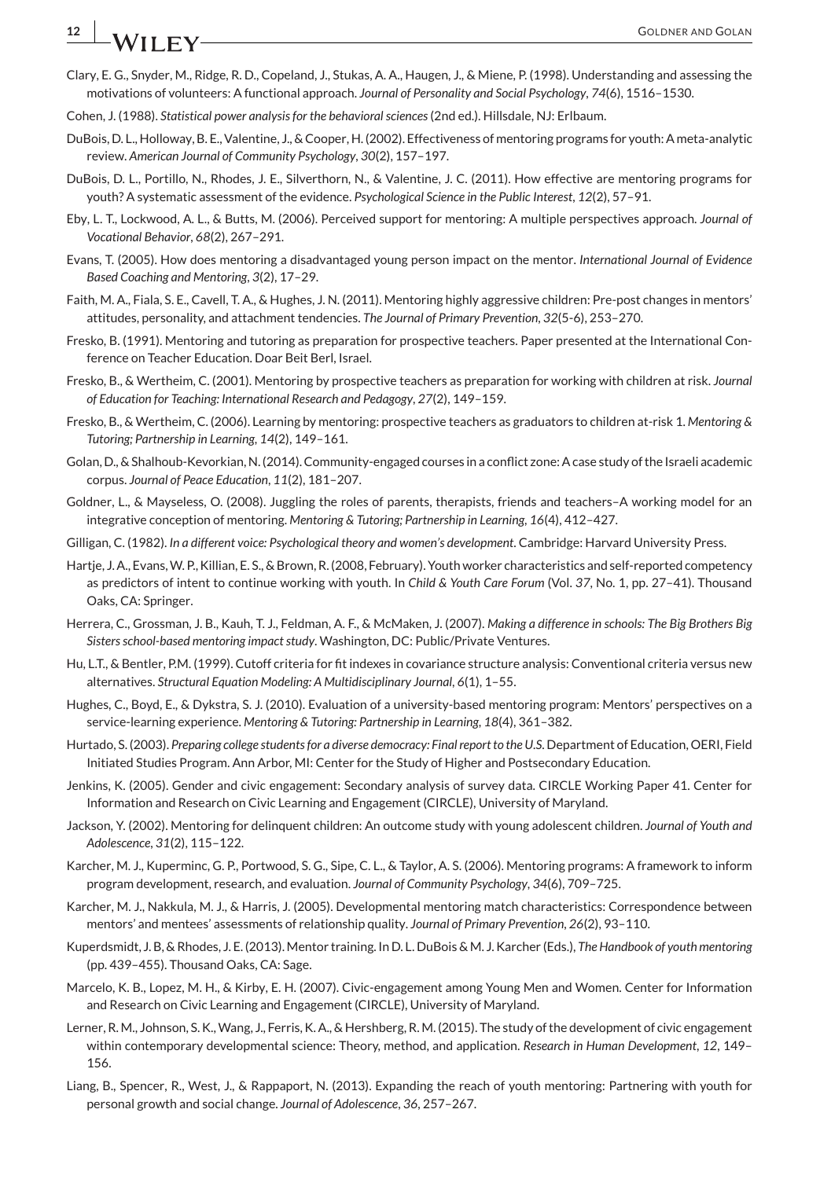# **12 I** A *I* x and *I* and *I* and *I* and *I* and *I* and *I* and *I* and *I* and *I* and *I* and *I* and *I* and *I* and *I* and *I* and *I* and *I* and *I* and *I* and *I* and *I* and *I* and *I* and *I* and *I* and

- Clary, E. G., Snyder, M., Ridge, R. D., Copeland, J., Stukas, A. A., Haugen, J., & Miene, P. (1998). Understanding and assessing the motivations of volunteers: A functional approach. *Journal of Personality and Social Psychology*, *74*(6), 1516–1530.
- Cohen, J. (1988). *Statistical power analysis for the behavioral sciences*(2nd ed.). Hillsdale, NJ: Erlbaum.
- DuBois, D. L., Holloway, B. E., Valentine, J., & Cooper, H. (2002). Effectiveness of mentoring programs for youth: A meta-analytic review. *American Journal of Community Psychology*, *30*(2), 157–197.
- DuBois, D. L., Portillo, N., Rhodes, J. E., Silverthorn, N., & Valentine, J. C. (2011). How effective are mentoring programs for youth? A systematic assessment of the evidence. *Psychological Science in the Public Interest*, *12*(2), 57–91.
- Eby, L. T., Lockwood, A. L., & Butts, M. (2006). Perceived support for mentoring: A multiple perspectives approach. *Journal of Vocational Behavior*, *68*(2), 267–291.
- Evans, T. (2005). How does mentoring a disadvantaged young person impact on the mentor. *International Journal of Evidence Based Coaching and Mentoring*, *3*(2), 17–29.
- Faith, M. A., Fiala, S. E., Cavell, T. A., & Hughes, J. N. (2011). Mentoring highly aggressive children: Pre-post changes in mentors' attitudes, personality, and attachment tendencies. *The Journal of Primary Prevention*, *32*(5-6), 253–270.
- Fresko, B. (1991). Mentoring and tutoring as preparation for prospective teachers. Paper presented at the International Conference on Teacher Education. Doar Beit Berl, Israel.
- Fresko, B., & Wertheim, C. (2001). Mentoring by prospective teachers as preparation for working with children at risk. *Journal of Education for Teaching: International Research and Pedagogy*, *27*(2), 149–159.
- Fresko, B., & Wertheim, C. (2006). Learning by mentoring: prospective teachers as graduators to children at-risk 1. *Mentoring & Tutoring; Partnership in Learning*, *14*(2), 149–161.
- Golan, D., & Shalhoub-Kevorkian, N. (2014). Community-engaged courses in a conflict zone: A case study of the Israeli academic corpus. *Journal of Peace Education*, *11*(2), 181–207.
- Goldner, L., & Mayseless, O. (2008). Juggling the roles of parents, therapists, friends and teachers–A working model for an integrative conception of mentoring. *Mentoring & Tutoring; Partnership in Learning*, *16*(4), 412–427.
- Gilligan, C. (1982). *In a different voice: Psychological theory and women's development*. Cambridge: Harvard University Press.
- Hartje, J. A., Evans,W. P., Killian, E. S., & Brown, R. (2008, February). Youth worker characteristics and self-reported competency as predictors of intent to continue working with youth. In *Child & Youth Care Forum* (Vol. *37*, No. 1, pp. 27–41). Thousand Oaks, CA: Springer.
- Herrera, C., Grossman, J. B., Kauh, T. J., Feldman, A. F., & McMaken, J. (2007). *Making a difference in schools: The Big Brothers Big Sisters school-based mentoring impact study*. Washington, DC: Public/Private Ventures.
- Hu, L.T., & Bentler, P.M. (1999). Cutoff criteria for fit indexes in covariance structure analysis: Conventional criteria versus new alternatives. *Structural Equation Modeling: A Multidisciplinary Journal*, *6*(1), 1–55.
- Hughes, C., Boyd, E., & Dykstra, S. J. (2010). Evaluation of a university-based mentoring program: Mentors' perspectives on a service-learning experience. *Mentoring & Tutoring: Partnership in Learning*, *18*(4), 361–382.
- Hurtado, S. (2003). *Preparing college students for a diverse democracy: Final report to the U.S*. Department of Education, OERI, Field Initiated Studies Program. Ann Arbor, MI: Center for the Study of Higher and Postsecondary Education.
- Jenkins, K. (2005). Gender and civic engagement: Secondary analysis of survey data. CIRCLE Working Paper 41. Center for Information and Research on Civic Learning and Engagement (CIRCLE), University of Maryland.
- Jackson, Y. (2002). Mentoring for delinquent children: An outcome study with young adolescent children. *Journal of Youth and Adolescence*, *31*(2), 115–122.
- Karcher, M. J., Kuperminc, G. P., Portwood, S. G., Sipe, C. L., & Taylor, A. S. (2006). Mentoring programs: A framework to inform program development, research, and evaluation. *Journal of Community Psychology*, *34*(6), 709–725.
- Karcher, M. J., Nakkula, M. J., & Harris, J. (2005). Developmental mentoring match characteristics: Correspondence between mentors' and mentees' assessments of relationship quality. *Journal of Primary Prevention*, *26*(2), 93–110.
- Kuperdsmidt, J. B, & Rhodes, J. E. (2013). Mentor training. In D. L. DuBois & M. J. Karcher (Eds.), *The Handbook of youth mentoring* (pp. 439–455). Thousand Oaks, CA: Sage.
- Marcelo, K. B., Lopez, M. H., & Kirby, E. H. (2007). Civic-engagement among Young Men and Women. Center for Information and Research on Civic Learning and Engagement (CIRCLE), University of Maryland.
- Lerner, R. M., Johnson, S. K.,Wang, J., Ferris, K. A., & Hershberg, R. M. (2015). The study of the development of civic engagement within contemporary developmental science: Theory, method, and application. *Research in Human Development*, *12*, 149– 156.
- Liang, B., Spencer, R., West, J., & Rappaport, N. (2013). Expanding the reach of youth mentoring: Partnering with youth for personal growth and social change. *Journal of Adolescence*, *36*, 257–267.